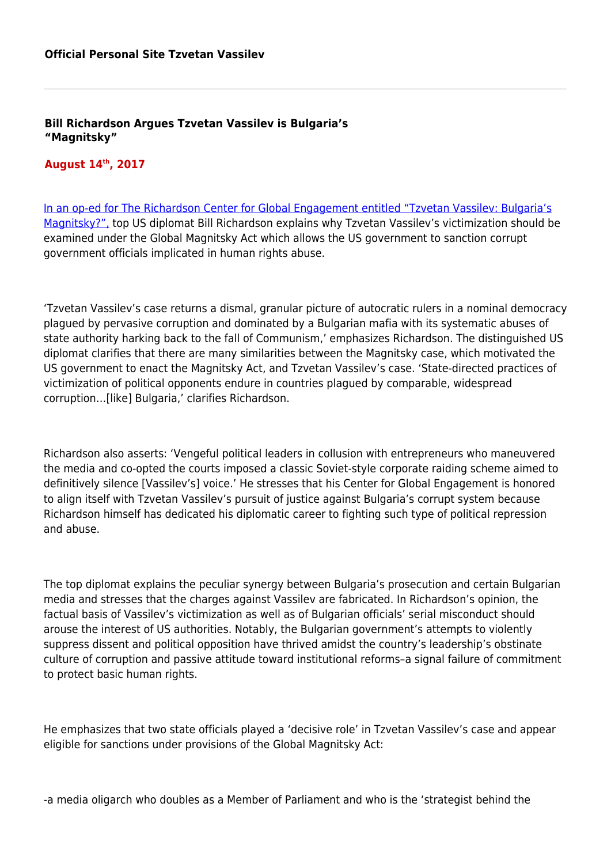**Bill Richardson Argues Tzvetan Vassilev is Bulgaria's "Magnitsky"**

## **August 14th, 2017**

[In an op-ed for The Richardson Center for Global Engagement entitled "Tzvetan Vassilev: Bulgaria's](http://www.richardsondiplomacy.org/news/tzvetan-vassilev-bulgarias-magnitsky/) [Magnitsky?",](http://www.richardsondiplomacy.org/news/tzvetan-vassilev-bulgarias-magnitsky/) top US diplomat Bill Richardson explains why Tzvetan Vassilev's victimization should be examined under the Global Magnitsky Act which allows the US government to sanction corrupt government officials implicated in human rights abuse.

'Tzvetan Vassilev's case returns a dismal, granular picture of autocratic rulers in a nominal democracy plagued by pervasive corruption and dominated by a Bulgarian mafia with its systematic abuses of state authority harking back to the fall of Communism,' emphasizes Richardson. The distinguished US diplomat clarifies that there are many similarities between the Magnitsky case, which motivated the US government to enact the Magnitsky Act, and Tzvetan Vassilev's case. 'State-directed practices of victimization of political opponents endure in countries plagued by comparable, widespread corruption…[like] Bulgaria,' clarifies Richardson.

Richardson also asserts: 'Vengeful political leaders in collusion with entrepreneurs who maneuvered the media and co-opted the courts imposed a classic Soviet-style corporate raiding scheme aimed to definitively silence [Vassilev's] voice.' He stresses that his Center for Global Engagement is honored to align itself with Tzvetan Vassilev's pursuit of justice against Bulgaria's corrupt system because Richardson himself has dedicated his diplomatic career to fighting such type of political repression and abuse.

The top diplomat explains the peculiar synergy between Bulgaria's prosecution and certain Bulgarian media and stresses that the charges against Vassilev are fabricated. In Richardson's opinion, the factual basis of Vassilev's victimization as well as of Bulgarian officials' serial misconduct should arouse the interest of US authorities. Notably, the Bulgarian government's attempts to violently suppress dissent and political opposition have thrived amidst the country's leadership's obstinate culture of corruption and passive attitude toward institutional reforms–a signal failure of commitment to protect basic human rights.

He emphasizes that two state officials played a 'decisive role' in Tzvetan Vassilev's case and appear eligible for sanctions under provisions of the Global Magnitsky Act:

-a media oligarch who doubles as a Member of Parliament and who is the 'strategist behind the